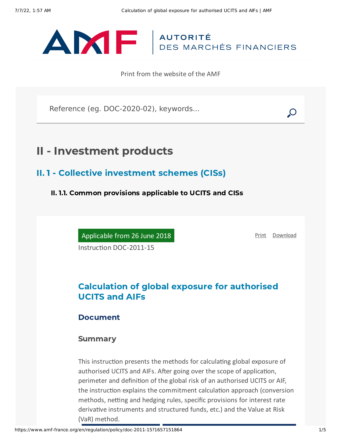

Print from the website of the AMF

Reference (eg. DOC-2020-02), keywords...

# II - Investment products

II. 1 - Collective investment schemes (CISs)

II. 1.1. Common provisions applicable to UCITS and CISs

Applicable from 26 June 2018

[Print](javascript:window.print()) [Download](https://www.amf-france.org/sites/default/files/pdf/62985/en/Calculation_of_global_exposure_for_authorised_UCITS_and_AIFs.pdf?1657151865)

Instruction DOC-2011-15

# Calculation of global exposure for authorised UCITS and AIFs

## Document

## Summary

This instruction presents the methods for calculating global exposure of authorised UCITS and AIFs. After going over the scope of application, perimeter and definition of the global risk of an authorised UCITS or AIF, the instruction explains the commitment calculation approach (conversion methods, netting and hedging rules, specific provisions for interest rate derivative instruments and structured funds, etc.) and the Value at Risk (VaR) method.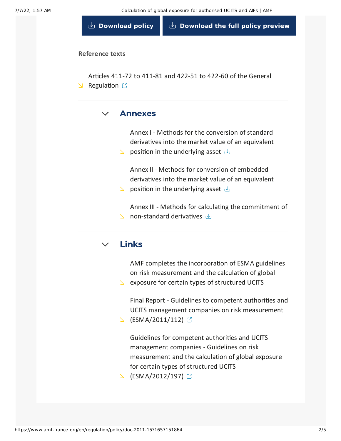**[Download](https://www.amf-france.org/sites/default/files/doctrine/en/Instruction/DOC-2011-15/4.0/Calculation%20of%20global%20exposure%20for%20authorised%20UCITS%20and%20AIFs.pdf) policy [Download](https://www.amf-france.org/sites/default/files/doctrine/62985/en/DOC-2011-15.zip?1657151865) the full policy preview**

### **Reference texts**

Articles 411-72 to 411-81 and 422-51 to 422-60 of the General  $\triangle$  [Regulation](https://www.amf-france.org/eli/fr/aai/amf/rg/20171224/notes/en.pdf)  $\mathbb{C}$ 

#### $\vee$ [Annexes](#page-1-0)

<span id="page-1-0"></span>Annex I - Methods for the [conversion](https://www.amf-france.org/sites/default/files/doctrine/attachment/DOC-2011-15/Annex%20I%20-%20Methods%20for%20the%20conversion%20of%20standard%20derivatives%20into%20the%20market%20value%20of%20an%20equivalent%20position%20in%20the%20underlying%20asset.docx) of standard derivatives into the market value of an equivalent

 $\Box$  position in the underlying asset  $\Box$ 

Annex II - Methods for [conversion](https://www.amf-france.org/sites/default/files/doctrine/attachment/DOC-2011-15/Annex%20II%20-%20Methods%20for%20conversion%20of%20embedded%20derivatives%20into%20the%20market%20value%20of%20an%20equivalent%20position%20in%20the%20underlying%20asset.docx) of embedded derivatives into the market value of an equivalent

 $\Box$  position in the underlying asset  $\Box$ 

Annex III - Methods for calculating the commitment of  $\Box$  [non-standard](https://www.amf-france.org/sites/default/files/doctrine/attachment/DOC-2011-15/Annex%20III%20-%20Methods%20for%20calculating%20the%20commitment%20of%20non-standard%20derivatives.docx) derivatives  $\downarrow$ 

#### $\vee$ [Links](#page-1-1)

<span id="page-1-1"></span>AMF completes the incorporation of ESMA guidelines on risk [measurement](https://www.amf-france.org/en/node/55572) and the calculation of global

 $\Delta$  exposure for certain types of structured UCITS

Final Report - Guidelines to competent authorities and UCITS management companies on risk measurement

 $\cup$  [\(ESMA/2011/112\)](https://www.esma.europa.eu/sites/default/files/library/2015/11/2011_112.pdf) ○

Guidelines for competent authorities and UCITS management companies - Guidelines on risk measurement and the calculation of global exposure for certain types of structured UCITS

 $\cup$  [\(ESMA/2012/197\)](https://www.esma.europa.eu/sites/default/files/library/2015/11/2012-197.pdf)  $\circ$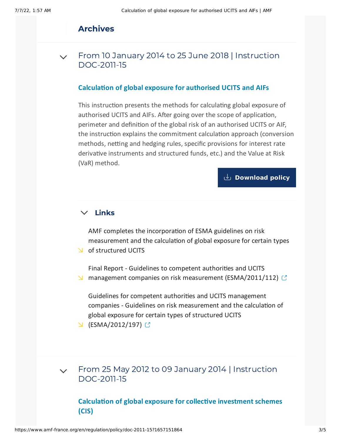# Archives

From 10 January 2014 to 25 June 2018 | Instruction [DOC-2011-15](#page-2-0)  $\sqrt{ }$ 

### **Calculation of global exposure for authorised UCITS and AIFs**

<span id="page-2-0"></span>This instruction presents the methods for calculating global exposure of authorised UCITS and AIFs. After going over the scope of application, perimeter and definition of the global risk of an authorised UCITS or AIF, the instruction explains the commitment calculation approach (conversion methods, netting and hedging rules, specific provisions for interest rate derivative instruments and structured funds, etc.) and the Value at Risk (VaR) method.

## **[Download](https://www.amf-france.org/sites/default/files/doctrine/en/Instruction/DOC-2011-15/3.0/Calculation%20of%20global%20exposure%20for%20authorised%20UCITS%20and%20AIFs.pdf) policy**

#### $\checkmark$ [Links](#page-2-1)

<span id="page-2-1"></span>AMF completes the incorporation of ESMA guidelines on risk [measurement](https://www.amf-france.org/en/node/55572) and the calculation of global exposure for certain types of structured UCITS

Final Report - Guidelines to competent authorities and UCITS **M** management companies on risk measurement [\(ESMA/2011/112\)](http://www.esma.europa.eu/system/files/2011_112.pdf)  $\mathbb{C}$ 

Guidelines for competent authorities and UCITS management companies - Guidelines on risk measurement and the calculation of global exposure for certain types of structured UCITS

 $\cup$  [\(ESMA/2012/197\)](http://www.esma.europa.eu/system/files/2012-197.pdf)  $\circ$ 

 $\sim$  From 25 May 2012 to 09 January 2014 | Instruction [DOC-2011-15](#page-3-0)

**Calculation of global exposure for collective investment schemes (CIS)**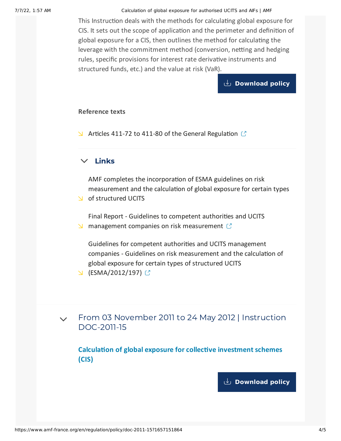7/7/22, 1:57 AM Calculation of global exposure for authorised UCITS and AIFs | AMF

<span id="page-3-0"></span>This Instruction deals with the methods for calculating global exposure for CIS. It sets out the scope of application and the perimeter and definition of global exposure for a CIS, then outlines the method for calculating the leverage with the commitment method (conversion, netting and hedging rules, specific provisions for interest rate derivative instruments and structured funds, etc.) and the value at risk (VaR).

### **[Download](https://www.amf-france.org/sites/default/files/doctrine/en/Instruction/DOC-2011-15/2.4/Calculation%20of%20global%20exposure%20for%20collective%20investment%20schemes%20%28CIS%29.pdf) policy**

#### **Reference texts**

 $\blacktriangleright$  Articles 411-72 to 411-80 of the General [Regulation](https://reglement-general.amf-france.org/eli/fr/aai/amf/rg/notes/fr.html)  $\mathbb{C}$ 

# $\times$  [Links](#page-3-1)

<span id="page-3-1"></span>AMF completes the incorporation of ESMA guidelines on risk [measurement](https://www.amf-france.org/en/node/55572) and the calculation of global exposure for certain types

of structured UCITS

Final Report - Guidelines to competent authorities and UCITS **M** management companies on risk [measurement](http://www.esma.europa.eu/system/files/2011_112.pdf)  $\mathbb{C}$ 

Guidelines for competent authorities and UCITS management companies - Guidelines on risk measurement and the calculation of global exposure for certain types of structured UCITS

- $\cup$  [\(ESMA/2012/197\)](http://www.esma.europa.eu/system/files/2012-197.pdf)  $\circ$
- From 03 November 2011 to 24 May 2012 | Instruction [DOC-2011-15](#page-3-2)  $\vee$

<span id="page-3-2"></span>**Calculation of global exposure for collective investment schemes (CIS)**

**[Download](https://www.amf-france.org/sites/default/files/doctrine/en/Instruction/DOC-2011-15/1.0/Calculation%20of%20global%20exposure%20for%20collective%20investment%20schemes%20%28CIS%29.pdf) policy**